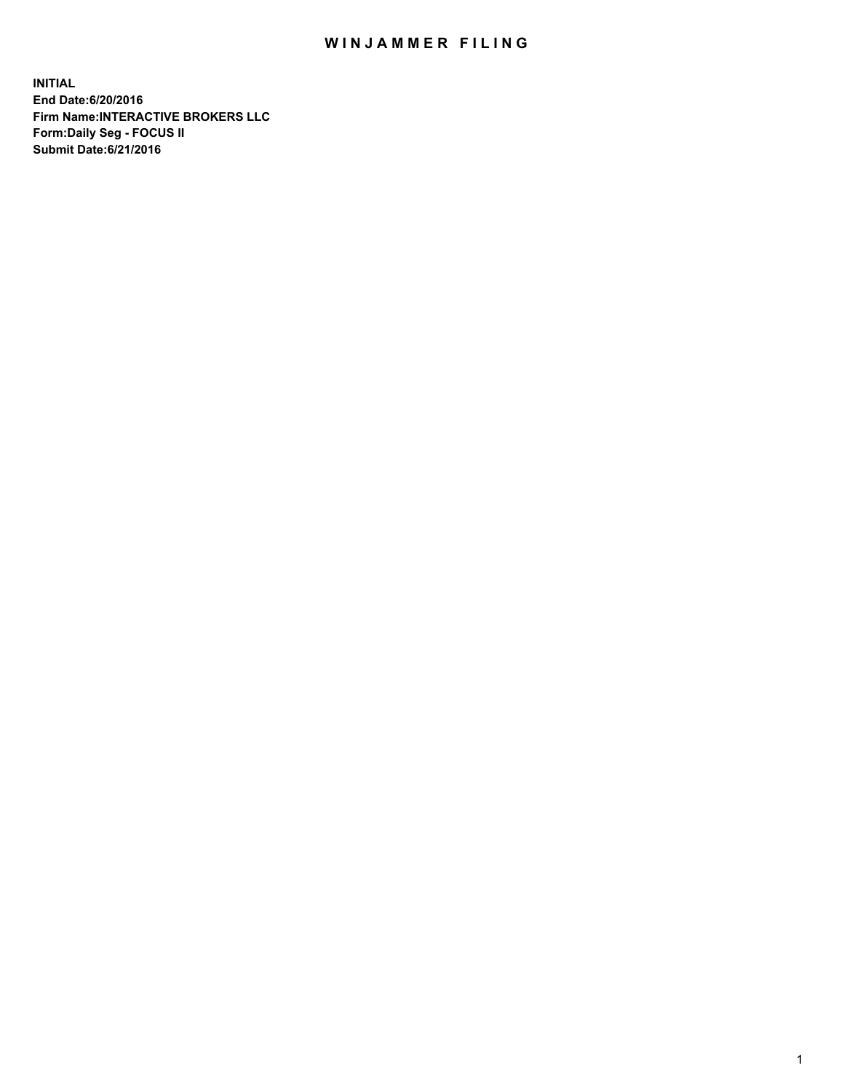## WIN JAMMER FILING

**INITIAL End Date:6/20/2016 Firm Name:INTERACTIVE BROKERS LLC Form:Daily Seg - FOCUS II Submit Date:6/21/2016**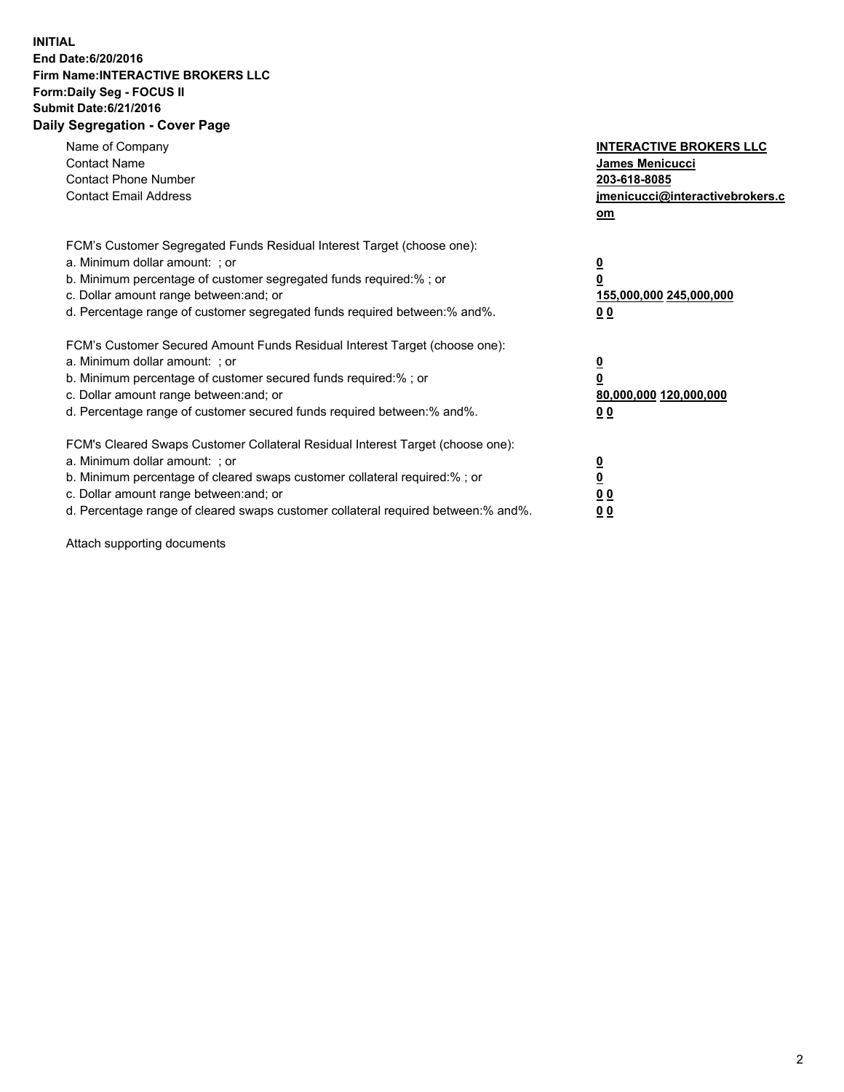## **INITIAL End Date:6/20/2016 Firm Name:INTERACTIVE BROKERS LLC Form:Daily Seg - FOCUS II Submit Date:6/21/2016 Daily Segregation - Cover Page**

| Name of Company<br><b>Contact Name</b><br><b>Contact Phone Number</b><br><b>Contact Email Address</b>                                                                                                                                                                                                                          | <b>INTERACTIVE BROKERS LLC</b><br><b>James Menicucci</b><br>203-618-8085<br>jmenicucci@interactivebrokers.c<br>om |
|--------------------------------------------------------------------------------------------------------------------------------------------------------------------------------------------------------------------------------------------------------------------------------------------------------------------------------|-------------------------------------------------------------------------------------------------------------------|
| FCM's Customer Segregated Funds Residual Interest Target (choose one):<br>a. Minimum dollar amount: ; or<br>b. Minimum percentage of customer segregated funds required:% ; or<br>c. Dollar amount range between: and; or<br>d. Percentage range of customer segregated funds required between: % and %.                       | $\overline{\mathbf{0}}$<br>0<br>155,000,000 245,000,000<br>00                                                     |
| FCM's Customer Secured Amount Funds Residual Interest Target (choose one):<br>a. Minimum dollar amount: ; or<br>b. Minimum percentage of customer secured funds required:%; or<br>c. Dollar amount range between: and; or<br>d. Percentage range of customer secured funds required between: % and %.                          | $\overline{\mathbf{0}}$<br>0<br>80,000,000 120,000,000<br>0 <sub>0</sub>                                          |
| FCM's Cleared Swaps Customer Collateral Residual Interest Target (choose one):<br>a. Minimum dollar amount: ; or<br>b. Minimum percentage of cleared swaps customer collateral required:% ; or<br>c. Dollar amount range between: and; or<br>d. Percentage range of cleared swaps customer collateral required between:% and%. | $\overline{\mathbf{0}}$<br>$\underline{\mathbf{0}}$<br>0 <sub>0</sub><br>0 <sub>0</sub>                           |

Attach supporting documents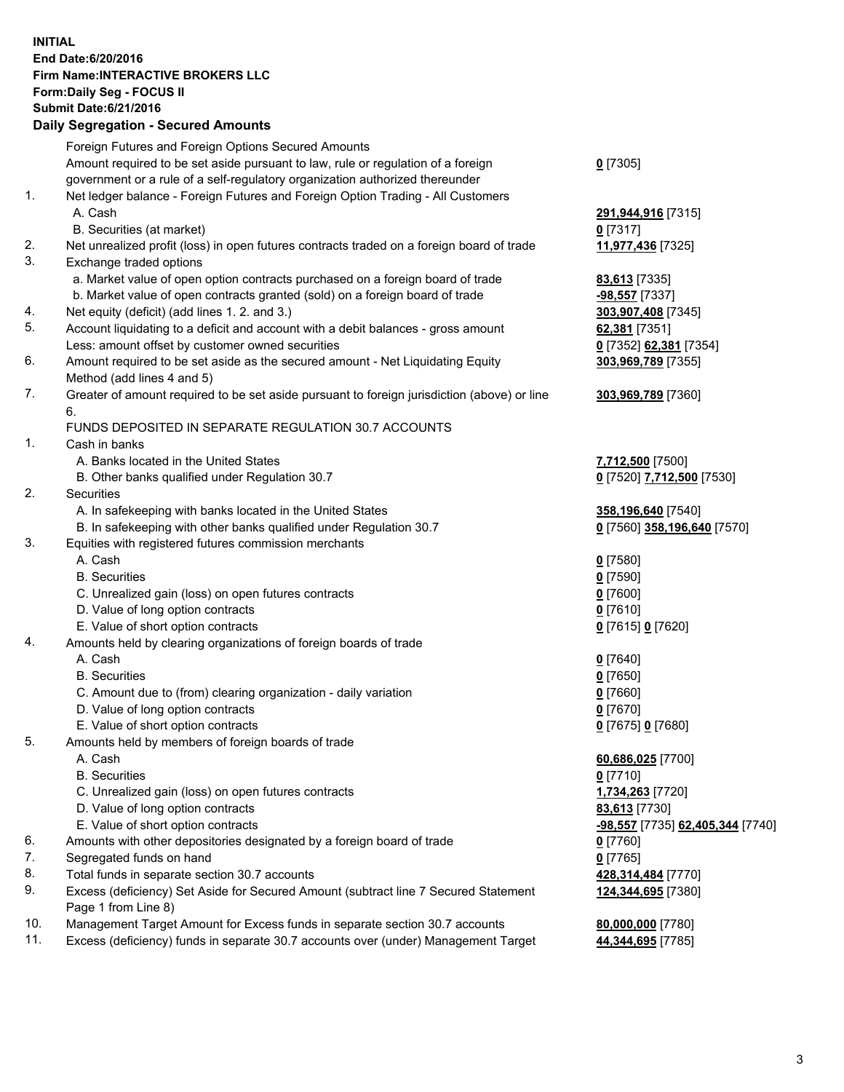## **INITIAL End Date:6/20/2016 Firm Name:INTERACTIVE BROKERS LLC Form:Daily Seg - FOCUS II Submit Date:6/21/2016 Daily Segregation - Secured Amounts**

|     | Dany Ocgregation - Oceaned Announts                                                         |                                  |
|-----|---------------------------------------------------------------------------------------------|----------------------------------|
|     | Foreign Futures and Foreign Options Secured Amounts                                         |                                  |
|     | Amount required to be set aside pursuant to law, rule or regulation of a foreign            | $0$ [7305]                       |
|     | government or a rule of a self-regulatory organization authorized thereunder                |                                  |
| 1.  | Net ledger balance - Foreign Futures and Foreign Option Trading - All Customers             |                                  |
|     | A. Cash                                                                                     | 291,944,916 [7315]               |
|     | B. Securities (at market)                                                                   | $0$ [7317]                       |
| 2.  | Net unrealized profit (loss) in open futures contracts traded on a foreign board of trade   | 11,977,436 [7325]                |
| 3.  | Exchange traded options                                                                     |                                  |
|     | a. Market value of open option contracts purchased on a foreign board of trade              | 83,613 [7335]                    |
|     | b. Market value of open contracts granted (sold) on a foreign board of trade                | $-98,557$ [7337]                 |
| 4.  | Net equity (deficit) (add lines 1.2. and 3.)                                                | 303,907,408 [7345]               |
| 5.  | Account liquidating to a deficit and account with a debit balances - gross amount           | 62,381 [7351]                    |
|     | Less: amount offset by customer owned securities                                            | 0 [7352] 62,381 [7354]           |
| 6.  | Amount required to be set aside as the secured amount - Net Liquidating Equity              | 303,969,789 [7355]               |
|     | Method (add lines 4 and 5)                                                                  |                                  |
| 7.  |                                                                                             |                                  |
|     | Greater of amount required to be set aside pursuant to foreign jurisdiction (above) or line | 303,969,789 [7360]               |
|     | 6.                                                                                          |                                  |
|     | FUNDS DEPOSITED IN SEPARATE REGULATION 30.7 ACCOUNTS                                        |                                  |
| 1.  | Cash in banks                                                                               |                                  |
|     | A. Banks located in the United States                                                       | 7,712,500 [7500]                 |
|     | B. Other banks qualified under Regulation 30.7                                              | 0 [7520] 7,712,500 [7530]        |
| 2.  | Securities                                                                                  |                                  |
|     | A. In safekeeping with banks located in the United States                                   | 358,196,640 [7540]               |
|     | B. In safekeeping with other banks qualified under Regulation 30.7                          | 0 [7560] 358,196,640 [7570]      |
| 3.  | Equities with registered futures commission merchants                                       |                                  |
|     | A. Cash                                                                                     | $0$ [7580]                       |
|     | <b>B.</b> Securities                                                                        | $0$ [7590]                       |
|     | C. Unrealized gain (loss) on open futures contracts                                         | $0$ [7600]                       |
|     | D. Value of long option contracts                                                           | $0$ [7610]                       |
|     | E. Value of short option contracts                                                          | 0 [7615] 0 [7620]                |
| 4.  | Amounts held by clearing organizations of foreign boards of trade                           |                                  |
|     | A. Cash                                                                                     | $0$ [7640]                       |
|     | <b>B.</b> Securities                                                                        | $0$ [7650]                       |
|     | C. Amount due to (from) clearing organization - daily variation                             | $0$ [7660]                       |
|     | D. Value of long option contracts                                                           | $0$ [7670]                       |
|     | E. Value of short option contracts                                                          | 0 [7675] 0 [7680]                |
| 5.  | Amounts held by members of foreign boards of trade                                          |                                  |
|     | A. Cash                                                                                     | 60,686,025 [7700]                |
|     | <b>B.</b> Securities                                                                        | $0$ [7710]                       |
|     | C. Unrealized gain (loss) on open futures contracts                                         | 1,734,263 [7720]                 |
|     | D. Value of long option contracts                                                           | 83,613 [7730]                    |
|     | E. Value of short option contracts                                                          | -98,557 [7735] 62,405,344 [7740] |
| 6.  | Amounts with other depositories designated by a foreign board of trade                      | $0$ [7760]                       |
| 7.  | Segregated funds on hand                                                                    | $0$ [7765]                       |
| 8.  | Total funds in separate section 30.7 accounts                                               | 428,314,484 [7770]               |
| 9.  | Excess (deficiency) Set Aside for Secured Amount (subtract line 7 Secured Statement         | 124,344,695 [7380]               |
|     | Page 1 from Line 8)                                                                         |                                  |
| 10. | Management Target Amount for Excess funds in separate section 30.7 accounts                 | 80,000,000 [7780]                |
| 11. | Excess (deficiency) funds in separate 30.7 accounts over (under) Management Target          | 44,344,695 [7785]                |
|     |                                                                                             |                                  |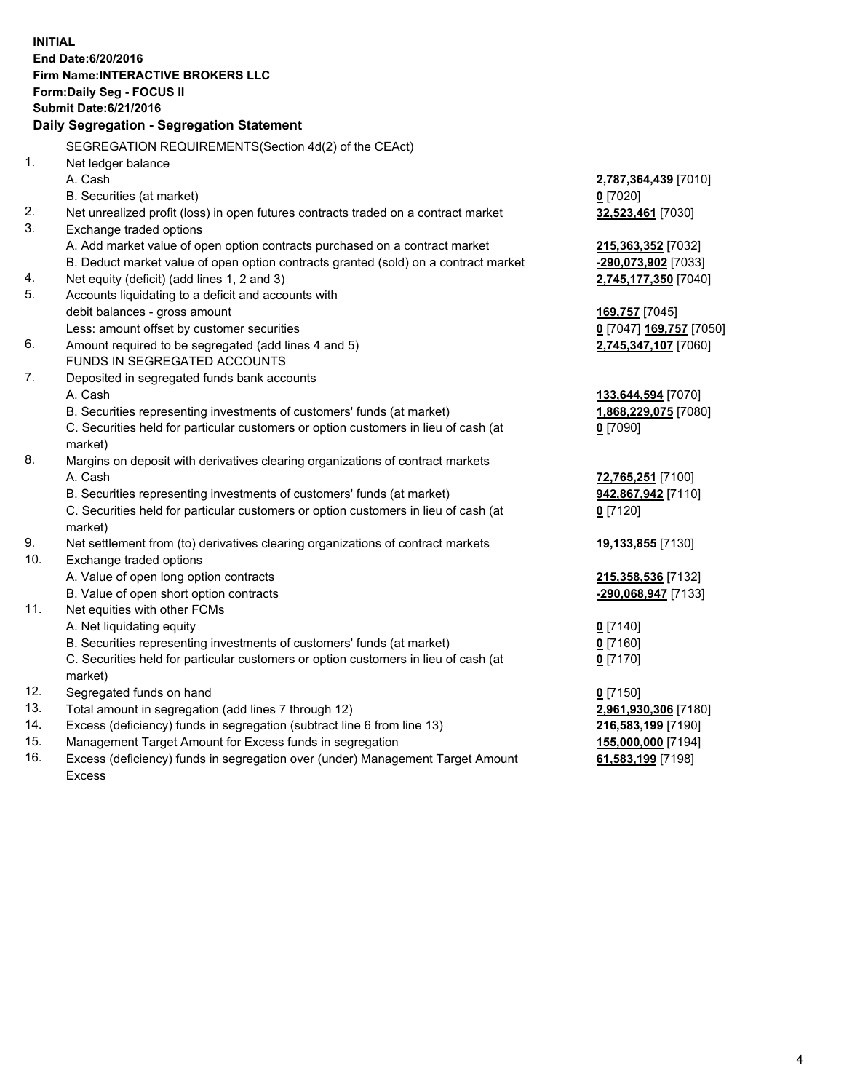**INITIAL End Date:6/20/2016 Firm Name:INTERACTIVE BROKERS LLC Form:Daily Seg - FOCUS II Submit Date:6/21/2016 Daily Segregation - Segregation Statement** SEGREGATION REQUIREMENTS(Section 4d(2) of the CEAct) 1. Net ledger balance A. Cash **2,787,364,439** [7010] B. Securities (at market) **0** [7020] 2. Net unrealized profit (loss) in open futures contracts traded on a contract market **32,523,461** [7030] 3. Exchange traded options A. Add market value of open option contracts purchased on a contract market **215,363,352** [7032] B. Deduct market value of open option contracts granted (sold) on a contract market **-290,073,902** [7033] 4. Net equity (deficit) (add lines 1, 2 and 3) **2,745,177,350** [7040] 5. Accounts liquidating to a deficit and accounts with debit balances - gross amount **169,757** [7045] Less: amount offset by customer securities **0** [7047] **169,757** [7050] 6. Amount required to be segregated (add lines 4 and 5) **2,745,347,107** [7060] FUNDS IN SEGREGATED ACCOUNTS 7. Deposited in segregated funds bank accounts A. Cash **133,644,594** [7070] B. Securities representing investments of customers' funds (at market) **1,868,229,075** [7080] C. Securities held for particular customers or option customers in lieu of cash (at market) **0** [7090] 8. Margins on deposit with derivatives clearing organizations of contract markets A. Cash **72,765,251** [7100] B. Securities representing investments of customers' funds (at market) **942,867,942** [7110] C. Securities held for particular customers or option customers in lieu of cash (at market) **0** [7120] 9. Net settlement from (to) derivatives clearing organizations of contract markets **19,133,855** [7130] 10. Exchange traded options A. Value of open long option contracts **215,358,536** [7132] B. Value of open short option contracts **-290,068,947** [7133] 11. Net equities with other FCMs A. Net liquidating equity **0** [7140] B. Securities representing investments of customers' funds (at market) **0** [7160] C. Securities held for particular customers or option customers in lieu of cash (at market) **0** [7170] 12. Segregated funds on hand **0** [7150] 13. Total amount in segregation (add lines 7 through 12) **2,961,930,306** [7180] 14. Excess (deficiency) funds in segregation (subtract line 6 from line 13) **216,583,199** [7190] 15. Management Target Amount for Excess funds in segregation **155,000,000** [7194] 16. Excess (deficiency) funds in segregation over (under) Management Target Amount **61,583,199** [7198]

Excess